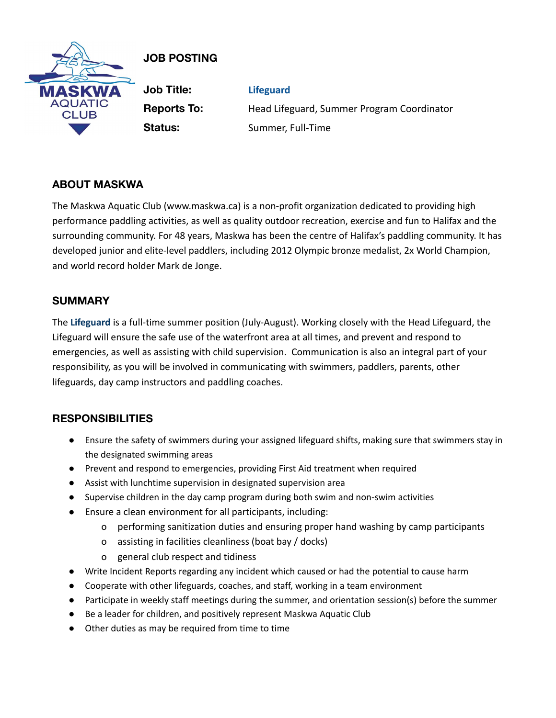

# **JOB POSTING**

**Job Title: Lifeguard Reports To:** Head Lifeguard, Summer Program Coordinator **Status:** Summer, Full-Time

## **ABOUT MASKWA**

The Maskwa Aquatic Club (www.maskwa.ca) is a non-profit organization dedicated to providing high performance paddling activities, as well as quality outdoor recreation, exercise and fun to Halifax and the surrounding community. For 48 years, Maskwa has been the centre of Halifax's paddling community. It has developed junior and elite-level paddlers, including 2012 Olympic bronze medalist, 2x World Champion, and world record holder Mark de Jonge.

### **SUMMARY**

The **Lifeguard** is a full-time summer position (July-August). Working closely with the Head Lifeguard, the Lifeguard will ensure the safe use of the waterfront area at all times, and prevent and respond to emergencies, as well as assisting with child supervision. Communication is also an integral part of your responsibility, as you will be involved in communicating with swimmers, paddlers, parents, other lifeguards, day camp instructors and paddling coaches.

### **RESPONSIBILITIES**

- Ensure the safety of swimmers during your assigned lifeguard shifts, making sure that swimmers stay in the designated swimming areas
- Prevent and respond to emergencies, providing First Aid treatment when required
- Assist with lunchtime supervision in designated supervision area
- Supervise children in the day camp program during both swim and non-swim activities
- Ensure a clean environment for all participants, including:
	- o performing sanitization duties and ensuring proper hand washing by camp participants
	- o assisting in facilities cleanliness (boat bay / docks)
	- o general club respect and tidiness
- Write Incident Reports regarding any incident which caused or had the potential to cause harm
- Cooperate with other lifeguards, coaches, and staff, working in a team environment
- Participate in weekly staff meetings during the summer, and orientation session(s) before the summer
- Be a leader for children, and positively represent Maskwa Aquatic Club
- Other duties as may be required from time to time